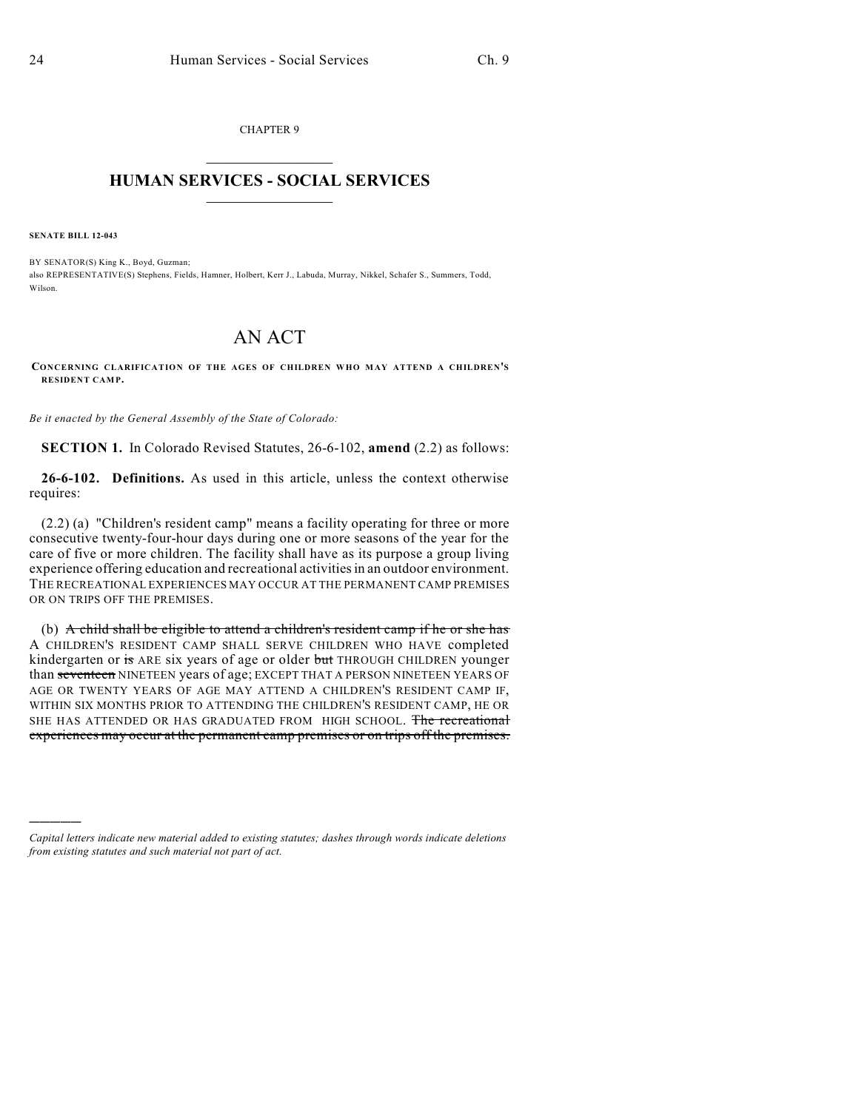CHAPTER 9  $\mathcal{L}_\text{max}$  . The set of the set of the set of the set of the set of the set of the set of the set of the set of the set of the set of the set of the set of the set of the set of the set of the set of the set of the set

## **HUMAN SERVICES - SOCIAL SERVICES**  $\frac{1}{2}$  ,  $\frac{1}{2}$  ,  $\frac{1}{2}$  ,  $\frac{1}{2}$  ,  $\frac{1}{2}$  ,  $\frac{1}{2}$

**SENATE BILL 12-043**

)))))

BY SENATOR(S) King K., Boyd, Guzman; also REPRESENTATIVE(S) Stephens, Fields, Hamner, Holbert, Kerr J., Labuda, Murray, Nikkel, Schafer S., Summers, Todd, Wilson.

## AN ACT

**CONCERNING CLARIFICATION OF THE AGES OF CHILDREN WHO MAY ATTEND A CHILDREN'S RESIDENT CAMP.**

*Be it enacted by the General Assembly of the State of Colorado:*

**SECTION 1.** In Colorado Revised Statutes, 26-6-102, **amend** (2.2) as follows:

**26-6-102. Definitions.** As used in this article, unless the context otherwise requires:

(2.2) (a) "Children's resident camp" means a facility operating for three or more consecutive twenty-four-hour days during one or more seasons of the year for the care of five or more children. The facility shall have as its purpose a group living experience offering education and recreational activities in an outdoor environment. THE RECREATIONAL EXPERIENCES MAY OCCUR AT THE PERMANENT CAMP PREMISES OR ON TRIPS OFF THE PREMISES.

(b) A child shall be eligible to attend a children's resident camp if he or she has A CHILDREN'S RESIDENT CAMP SHALL SERVE CHILDREN WHO HAVE completed kindergarten or is ARE six years of age or older but THROUGH CHILDREN younger than seventeen NINETEEN years of age; EXCEPT THAT A PERSON NINETEEN YEARS OF AGE OR TWENTY YEARS OF AGE MAY ATTEND A CHILDREN'S RESIDENT CAMP IF, WITHIN SIX MONTHS PRIOR TO ATTENDING THE CHILDREN'S RESIDENT CAMP, HE OR SHE HAS ATTENDED OR HAS GRADUATED FROM HIGH SCHOOL. The recreational experiences may occur at the permanent camp premises or on trips off the premises.

*Capital letters indicate new material added to existing statutes; dashes through words indicate deletions from existing statutes and such material not part of act.*